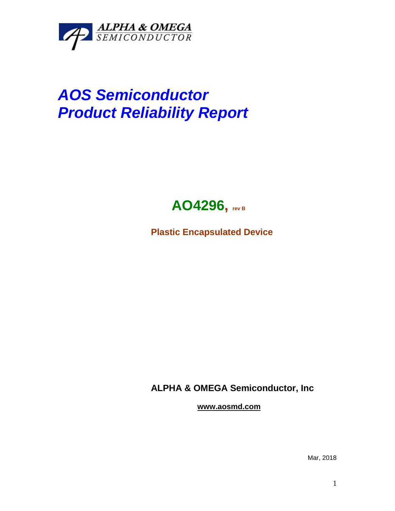

## *AOS Semiconductor Product Reliability Report*



**Plastic Encapsulated Device**

**ALPHA & OMEGA Semiconductor, Inc**

**www.aosmd.com**

Mar, 2018